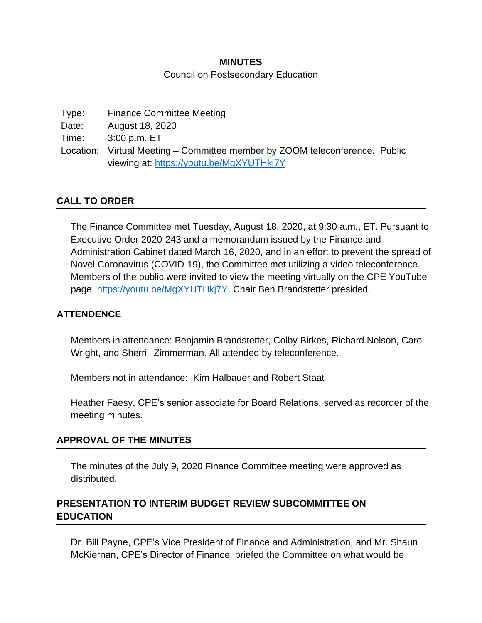# **MINUTES** Council on Postsecondary Education

| Type: | <b>Finance Committee Meeting</b>                                            |  |
|-------|-----------------------------------------------------------------------------|--|
| Date: | August 18, 2020                                                             |  |
| Time: | 3:00 p.m. ET                                                                |  |
|       | Location: Virtual Meeting – Committee member by ZOOM teleconference. Public |  |
|       | viewing at: https://youtu.be/MgXYUTHkj7Y                                    |  |

## **CALL TO ORDER**

The Finance Committee met Tuesday, August 18, 2020, at 9:30 a.m., ET. Pursuant to Executive Order 2020-243 and a memorandum issued by the Finance and Administration Cabinet dated March 16, 2020, and in an effort to prevent the spread of Novel Coronavirus (COVID-19), the Committee met utilizing a video teleconference. Members of the public were invited to view the meeting virtually on the CPE YouTube page: [https://youtu.be/MgXYUTHkj7Y.](https://youtu.be/MgXYUTHkj7Y) Chair Ben Brandstetter presided.

### **ATTENDENCE**

Members in attendance: Benjamin Brandstetter, Colby Birkes, Richard Nelson, Carol Wright, and Sherrill Zimmerman. All attended by teleconference.

Members not in attendance: Kim Halbauer and Robert Staat

Heather Faesy, CPE's senior associate for Board Relations, served as recorder of the meeting minutes.

### **APPROVAL OF THE MINUTES**

The minutes of the July 9, 2020 Finance Committee meeting were approved as distributed.

# **PRESENTATION TO INTERIM BUDGET REVIEW SUBCOMMITTEE ON EDUCATION**

Dr. Bill Payne, CPE's Vice President of Finance and Administration, and Mr. Shaun McKiernan, CPE's Director of Finance, briefed the Committee on what would be